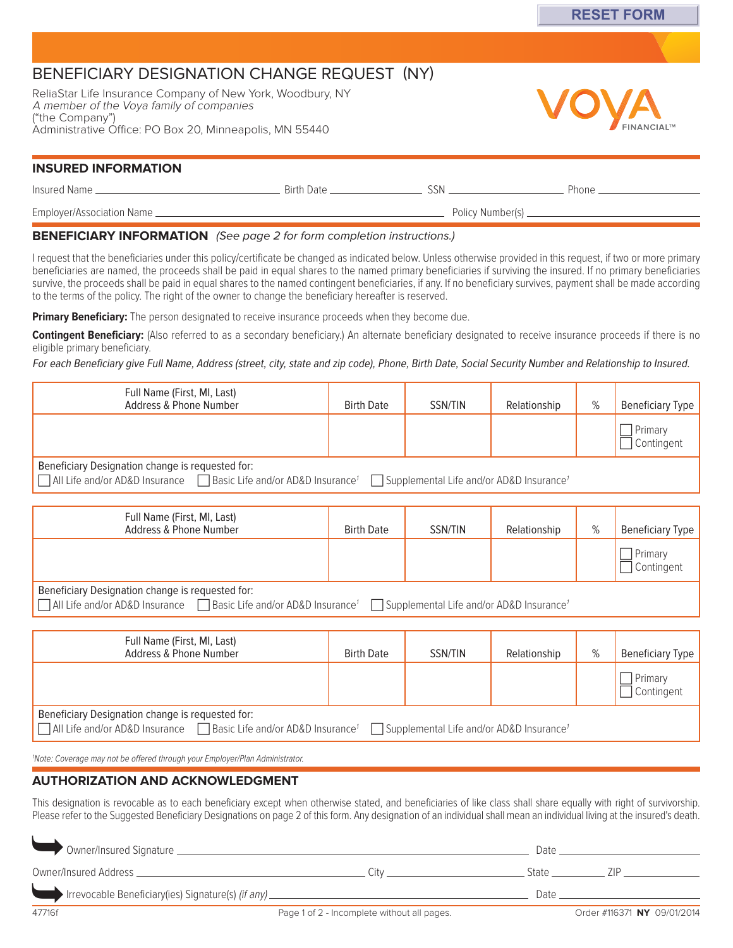# BENEFICIARY DESIGNATION CHANGE REQUEST (NY)

ReliaStar Life Insurance Company of New York, Woodbury, NY A member of the Voya family of companies ("the Company") Administrative Office: PO Box 20, Minneapolis, MN 55440



## **INSURED INFORMATION**

| Insured Name _             | Birth Date | SSN.             | Phone |
|----------------------------|------------|------------------|-------|
| Employer/Association Name. |            | Policy Number(s) |       |

## **BENEFICIARY INFORMATION** (See page 2 for form completion instructions.)

I request that the beneficiaries under this policy/certificate be changed as indicated below. Unless otherwise provided in this request, if two or more primary beneficiaries are named, the proceeds shall be paid in equal shares to the named primary beneficiaries if surviving the insured. If no primary beneficiaries survive, the proceeds shall be paid in equal shares to the named contingent beneficiaries, if any. If no beneficiary survives, payment shall be made according to the terms of the policy. The right of the owner to change the beneficiary hereafter is reserved.

**Primary Beneficiary:** The person designated to receive insurance proceeds when they become due.

**Contingent Beneficiary:** (Also referred to as a secondary beneficiary.) An alternate beneficiary designated to receive insurance proceeds if there is no eligible primary beneficiary.

For each Beneficiary give Full Name, Address (street, city, state and zip code), Phone, Birth Date, Social Security Number and Relationship to Insured.

| Full Name (First, MI, Last)<br>Address & Phone Number                                                                                                                                             | <b>Birth Date</b> | SSN/TIN | Relationship |  | Beneficiary Type      |  |
|---------------------------------------------------------------------------------------------------------------------------------------------------------------------------------------------------|-------------------|---------|--------------|--|-----------------------|--|
|                                                                                                                                                                                                   |                   |         |              |  | Primary<br>Contingent |  |
| Beneficiary Designation change is requested for:<br>All Life and/or AD&D Insurance   Basic Life and/or AD&D Insurance <sup>1</sup><br>$\Box$ Supplemental Life and/or AD&D Insurance <sup>1</sup> |                   |         |              |  |                       |  |

| Full Name (First, MI, Last)<br>Address & Phone Number                                                                                                                                       | <b>Birth Date</b> | SSN/TIN | Relationship | % | Beneficiary Type      |  |
|---------------------------------------------------------------------------------------------------------------------------------------------------------------------------------------------|-------------------|---------|--------------|---|-----------------------|--|
|                                                                                                                                                                                             |                   |         |              |   | Primary<br>Contingent |  |
| Beneficiary Designation change is requested for:<br>□ All Life and/or AD&D Insurance □ Basic Life and/or AD&D Insurance <sup>1</sup> □ Supplemental Life and/or AD&D Insurance <sup>1</sup> |                   |         |              |   |                       |  |

| Full Name (First, MI, Last)<br>Address & Phone Number                                                                                                                                                  | <b>Birth Date</b> | SSN/TIN | Relationship | % | Beneficiary Type      |
|--------------------------------------------------------------------------------------------------------------------------------------------------------------------------------------------------------|-------------------|---------|--------------|---|-----------------------|
|                                                                                                                                                                                                        |                   |         |              |   | Primary<br>Contingent |
| Beneficiary Designation change is requested for:<br>$\Box$ All Life and/or AD&D Insurance $\Box$ Basic Life and/or AD&D Insurance <sup>1</sup><br>Supplemental Life and/or AD&D Insurance <sup>1</sup> |                   |         |              |   |                       |

1 Note: Coverage may not be offered through your Employer/Plan Administrator.

# **AUTHORIZATION AND ACKNOWLEDGMENT**

This designation is revocable as to each beneficiary except when otherwise stated, and beneficiaries of like class shall share equally with right of survivorship. Please refer to the Suggested Beneficiary Designations on page 2 of this form. Any designation of an individual shall mean an individual living at the insured's death.

|                                                                                   |                                             | Date  |                             |  |
|-----------------------------------------------------------------------------------|---------------------------------------------|-------|-----------------------------|--|
|                                                                                   | ∵ïtv                                        | State |                             |  |
| Irrevocable Beneficiary(ies) Signature(s) (if any) ______________________________ |                                             | Date  |                             |  |
| 47716f                                                                            | Page 1 of 2 - Incomplete without all pages. |       | Order #116371 NY 09/01/2014 |  |